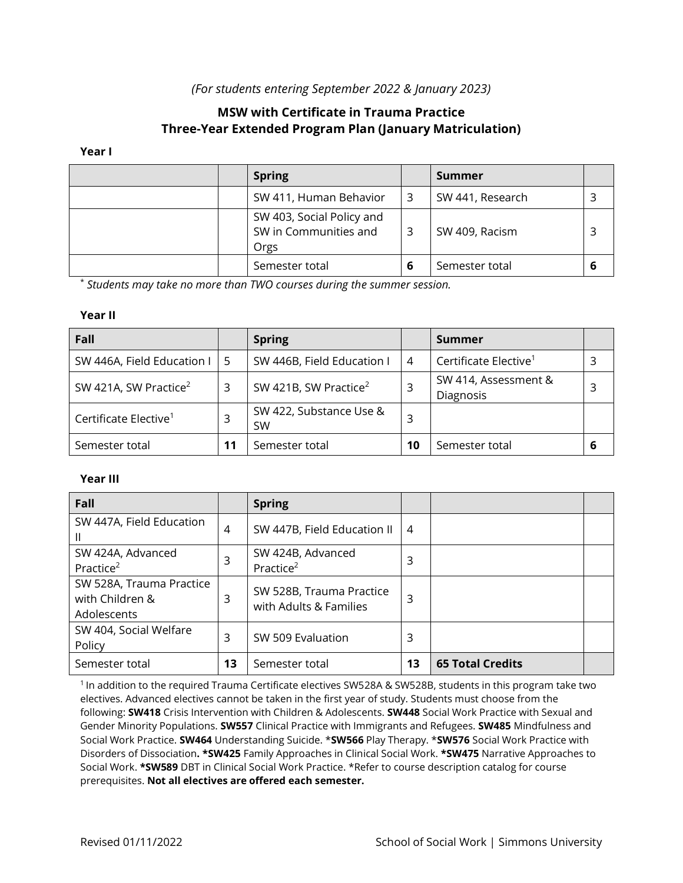# *(For students entering September 2022 & January 2023)*

# **MSW with Certificate in Trauma Practice Three-Year Extended Program Plan (January Matriculation)**

### **Year I**

|  | <b>Spring</b>                                              |   | Summer           |  |
|--|------------------------------------------------------------|---|------------------|--|
|  | SW 411, Human Behavior                                     |   | SW 441, Research |  |
|  | SW 403, Social Policy and<br>SW in Communities and<br>Orgs |   | SW 409, Racism   |  |
|  | Semester total                                             | 6 | Semester total   |  |

\* *Students may take no more than TWO courses during the summer session.*

## **Year II**

| Fall                              |    | <b>Spring</b>                        |    | Summer                            |   |
|-----------------------------------|----|--------------------------------------|----|-----------------------------------|---|
| SW 446A, Field Education I        | -5 | SW 446B, Field Education I           | 4  | Certificate Elective <sup>1</sup> |   |
| SW 421A, SW Practice <sup>2</sup> | 3  | SW 421B, SW Practice <sup>2</sup>    |    | SW 414, Assessment &<br>Diagnosis |   |
| Certificate Elective <sup>1</sup> |    | SW 422, Substance Use &<br><b>SW</b> |    |                                   |   |
| Semester total                    | 11 | Semester total                       | 10 | Semester total                    | ь |

## **Year III**

| Fall                                                       |                | <b>Spring</b>                                      |    |                         |  |
|------------------------------------------------------------|----------------|----------------------------------------------------|----|-------------------------|--|
| SW 447A, Field Education                                   | $\overline{4}$ | SW 447B, Field Education II                        | 4  |                         |  |
| SW 424A, Advanced<br>Practice <sup>2</sup>                 | 3              | SW 424B, Advanced<br>Practice <sup>2</sup>         | 3  |                         |  |
| SW 528A, Trauma Practice<br>with Children &<br>Adolescents | 3              | SW 528B, Trauma Practice<br>with Adults & Families | 3  |                         |  |
| SW 404, Social Welfare<br>Policy                           | 3              | SW 509 Evaluation                                  | 3  |                         |  |
| Semester total                                             | 13             | Semester total                                     | 13 | <b>65 Total Credits</b> |  |

<sup>1</sup>In addition to the required Trauma Certificate electives SW528A & SW528B, students in this program take two electives. Advanced electives cannot be taken in the first year of study. Students must choose from the following: **SW418** Crisis Intervention with Children & Adolescents. **SW448** Social Work Practice with Sexual and Gender Minority Populations. **SW557** Clinical Practice with Immigrants and Refugees. **SW485** Mindfulness and Social Work Practice. **SW464** Understanding Suicide. \***SW566** Play Therapy. \***SW576** Social Work Practice with Disorders of Dissociation**. \*SW425** Family Approaches in Clinical Social Work. **\*SW475** Narrative Approaches to Social Work. **\*SW589** DBT in Clinical Social Work Practice. \*Refer to course description catalog for course prerequisites. **Not all electives are offered each semester.**